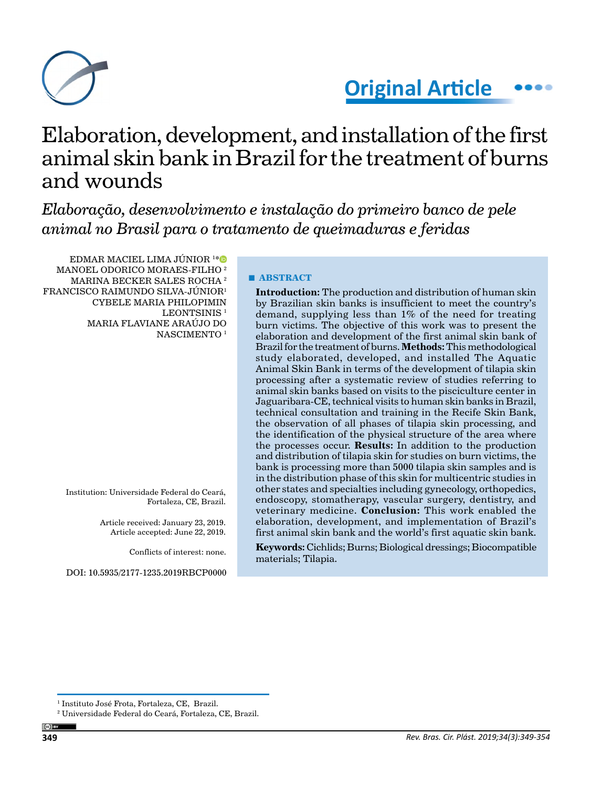



# Elaboration, development, and installation of the first animal skin bank in Brazil for the treatment of burns and wounds

*Elaboração, desenvolvimento e instalação do primeiro banco de pele animal no Brasil para o tratamento de queimaduras e feridas*

EDMAR MACIEL LIMA JÚNIOR <sup>1</sup> [\\*](https://orcid.org/0000-0003-3158-7994) MANOEL ODORICO MORAES-FILHO 2 MARINA BECKER SALES ROCHA 2 FRANCISCO RAIMUNDO SILVA-JÚNIOR1 CYBELE MARIA PHILOPIMIN LEONTSINIS<sup>1</sup> MARIA FLAVIANE ARAÚJO DO NASCIMENTO<sup>1</sup>

> Institution: Universidade Federal do Ceará, Fortaleza, CE, Brazil.

> > Article received: January 23, 2019. Article accepted: June 22, 2019.

> > > Conflicts of interest: none.

DOI: 10.5935/2177-1235.2019RBCP0000

#### **■ ABSTRACT**

**Introduction:** The production and distribution of human skin by Brazilian skin banks is insufficient to meet the country's demand, supplying less than 1% of the need for treating burn victims. The objective of this work was to present the elaboration and development of the first animal skin bank of Brazil for the treatment of burns. **Methods:** This methodological study elaborated, developed, and installed The Aquatic Animal Skin Bank in terms of the development of tilapia skin processing after a systematic review of studies referring to animal skin banks based on visits to the pisciculture center in Jaguaribara-CE, technical visits to human skin banks in Brazil, technical consultation and training in the Recife Skin Bank, the observation of all phases of tilapia skin processing, and the identification of the physical structure of the area where the processes occur. **Results:** In addition to the production and distribution of tilapia skin for studies on burn victims, the bank is processing more than 5000 tilapia skin samples and is in the distribution phase of this skin for multicentric studies in other states and specialties including gynecology, orthopedics, endoscopy, stomatherapy, vascular surgery, dentistry, and veterinary medicine. **Conclusion:** This work enabled the elaboration, development, and implementation of Brazil's first animal skin bank and the world's first aquatic skin bank.

**Keywords:** Cichlids; Burns; Biological dressings; Biocompatible materials; Tilapia.

<sup>1</sup> Instituto José Frota, Fortaleza, CE, Brazil.

<sup>2</sup> Universidade Federal do Ceará, Fortaleza, CE, Brazil.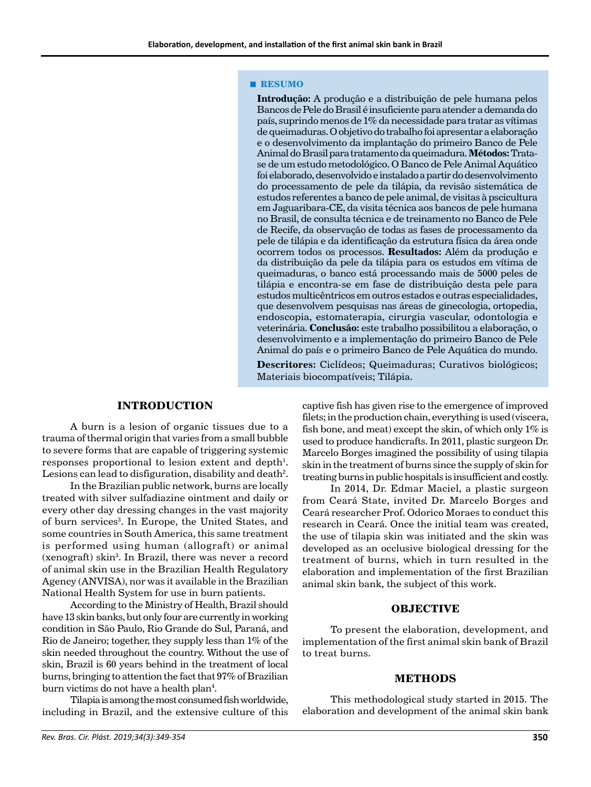#### **■ RESUMO**

**Introdução:** A produção e a distribuição de pele humana pelos Bancos de Pele do Brasil é insuficiente para atender a demanda do país, suprindo menos de 1% da necessidade para tratar as vítimas de queimaduras. O objetivo do trabalho foi apresentar a elaboração e o desenvolvimento da implantação do primeiro Banco de Pele Animal do Brasil para tratamento da queimadura. **Métodos:** Tratase de um estudo metodológico. O Banco de Pele Animal Aquático foi elaborado, desenvolvido e instalado a partir do desenvolvimento do processamento de pele da tilápia, da revisão sistemática de estudos referentes a banco de pele animal, de visitas à pscicultura em Jaguaribara-CE, da visita técnica aos bancos de pele humana no Brasil, de consulta técnica e de treinamento no Banco de Pele de Recife, da observação de todas as fases de processamento da pele de tilápia e da identificação da estrutura física da área onde ocorrem todos os processos. **Resultados:** Além da produção e da distribuição da pele da tilápia para os estudos em vítima de queimaduras, o banco está processando mais de 5000 peles de tilápia e encontra-se em fase de distribuição desta pele para estudos multicêntricos em outros estados e outras especialidades, que desenvolvem pesquisas nas áreas de ginecologia, ortopedia, endoscopia, estomaterapia, cirurgia vascular, odontologia e veterinária. **Conclusão:** este trabalho possibilitou a elaboração, o desenvolvimento e a implementação do primeiro Banco de Pele Animal do país e o primeiro Banco de Pele Aquática do mundo.

**Descritores:** Ciclídeos; Queimaduras; Curativos biológicos; Materiais biocompatíveis; Tilápia.

## **INTRODUCTION**

A burn is a lesion of organic tissues due to a trauma of thermal origin that varies from a small bubble to severe forms that are capable of triggering systemic responses proportional to lesion extent and depth<sup>1</sup>. Lesions can lead to disfiguration, disability and death $^2\!$ .

In the Brazilian public network, burns are locally treated with silver sulfadiazine ointment and daily or every other day dressing changes in the vast majority of burn services<sup>3</sup>. In Europe, the United States, and some countries in South America, this same treatment is performed using human (allograft) or animal (xenograft) skin3 . In Brazil, there was never a record of animal skin use in the Brazilian Health Regulatory Agency (ANVISA), nor was it available in the Brazilian National Health System for use in burn patients.

According to the Ministry of Health, Brazil should have 13 skin banks, but only four are currently in working condition in São Paulo, Rio Grande do Sul, Paraná, and Rio de Janeiro; together, they supply less than 1% of the skin needed throughout the country. Without the use of skin, Brazil is 60 years behind in the treatment of local burns, bringing to attention the fact that 97% of Brazilian burn victims do not have a health plan<sup>4</sup>.

Tilapia is among the most consumed fish worldwide, including in Brazil, and the extensive culture of this

captive fish has given rise to the emergence of improved filets; in the production chain, everything is used (viscera, fish bone, and meat) except the skin, of which only  $1\%$  is used to produce handicrafts. In 2011, plastic surgeon Dr. Marcelo Borges imagined the possibility of using tilapia skin in the treatment of burns since the supply of skin for treating burns in public hospitals is insufficient and costly.

In 2014, Dr. Edmar Maciel, a plastic surgeon from Ceará State, invited Dr. Marcelo Borges and Ceará researcher Prof. Odorico Moraes to conduct this research in Ceará. Once the initial team was created, the use of tilapia skin was initiated and the skin was developed as an occlusive biological dressing for the treatment of burns, which in turn resulted in the elaboration and implementation of the first Brazilian animal skin bank, the subject of this work.

## **OBJECTIVE**

To present the elaboration, development, and implementation of the first animal skin bank of Brazil to treat burns.

#### **METHODS**

This methodological study started in 2015. The elaboration and development of the animal skin bank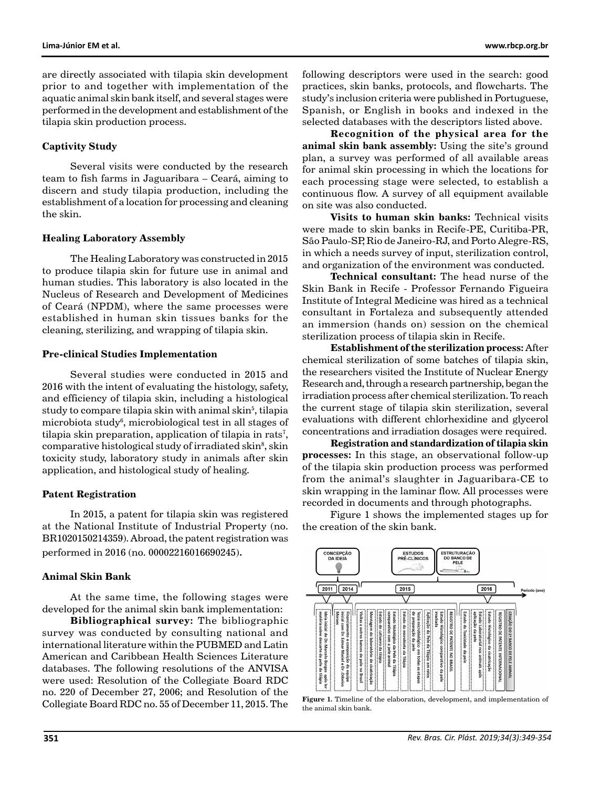are directly associated with tilapia skin development prior to and together with implementation of the aquatic animal skin bank itself, and several stages were performed in the development and establishment of the tilapia skin production process.

### **Captivity Study**

Several visits were conducted by the research team to fish farms in Jaguaribara – Ceará, aiming to discern and study tilapia production, including the establishment of a location for processing and cleaning the skin.

#### **Healing Laboratory Assembly**

The Healing Laboratory was constructed in 2015 to produce tilapia skin for future use in animal and human studies. This laboratory is also located in the Nucleus of Research and Development of Medicines of Ceará (NPDM), where the same processes were established in human skin tissues banks for the cleaning, sterilizing, and wrapping of tilapia skin.

#### **Pre-clinical Studies Implementation**

Several studies were conducted in 2015 and 2016 with the intent of evaluating the histology, safety, and efficiency of tilapia skin, including a histological study to compare tilapia skin with animal skin $^5$ , tilapia microbiota study6 , microbiological test in all stages of tilapia skin preparation, application of tilapia in rats<sup>7</sup>, comparative histological study of irradiated skin<sup>8</sup>, skin toxicity study, laboratory study in animals after skin application, and histological study of healing.

#### **Patent Registration**

In 2015, a patent for tilapia skin was registered at the National Institute of Industrial Property (no. BR1020150214359). Abroad, the patent registration was performed in 2016 (no. 00002216016690245).

# **Animal Skin Bank**

At the same time, the following stages were developed for the animal skin bank implementation:

**Bibliographical survey:** The bibliographic survey was conducted by consulting national and international literature within the PUBMED and Latin American and Caribbean Health Sciences Literature databases. The following resolutions of the ANVISA were used: Resolution of the Collegiate Board RDC no. 220 of December 27, 2006; and Resolution of the Collegiate Board RDC no. 55 of December 11, 2015. The

following descriptors were used in the search: good practices, skin banks, protocols, and flowcharts. The study's inclusion criteria were published in Portuguese, Spanish, or English in books and indexed in the selected databases with the descriptors listed above.

**Recognition of the physical area for the animal skin bank assembly:** Using the site's ground plan, a survey was performed of all available areas for animal skin processing in which the locations for each processing stage were selected, to establish a continuous flow. A survey of all equipment available on site was also conducted.

**Visits to human skin banks:** Technical visits were made to skin banks in Recife-PE, Curitiba-PR, São Paulo-SP, Rio de Janeiro-RJ, and Porto Alegre-RS, in which a needs survey of input, sterilization control, and organization of the environment was conducted.

**Technical consultant:** The head nurse of the Skin Bank in Recife - Professor Fernando Figueira Institute of Integral Medicine was hired as a technical consultant in Fortaleza and subsequently attended an immersion (hands on) session on the chemical sterilization process of tilapia skin in Recife.

**Establishment of the sterilization process:** After chemical sterilization of some batches of tilapia skin, the researchers visited the Institute of Nuclear Energy Research and, through a research partnership, began the irradiation process after chemical sterilization. To reach the current stage of tilapia skin sterilization, several evaluations with different chlorhexidine and glycerol concentrations and irradiation dosages were required.

**Registration and standardization of tilapia skin processes:** In this stage, an observational follow-up of the tilapia skin production process was performed from the animal's slaughter in Jaguaribara-CE to skin wrapping in the laminar flow. All processes were recorded in documents and through photographs.

Figure 1 shows the implemented stages up for the creation of the skin bank.



Figure 1. Timeline of the elaboration, development, and implementation of the animal skin bank.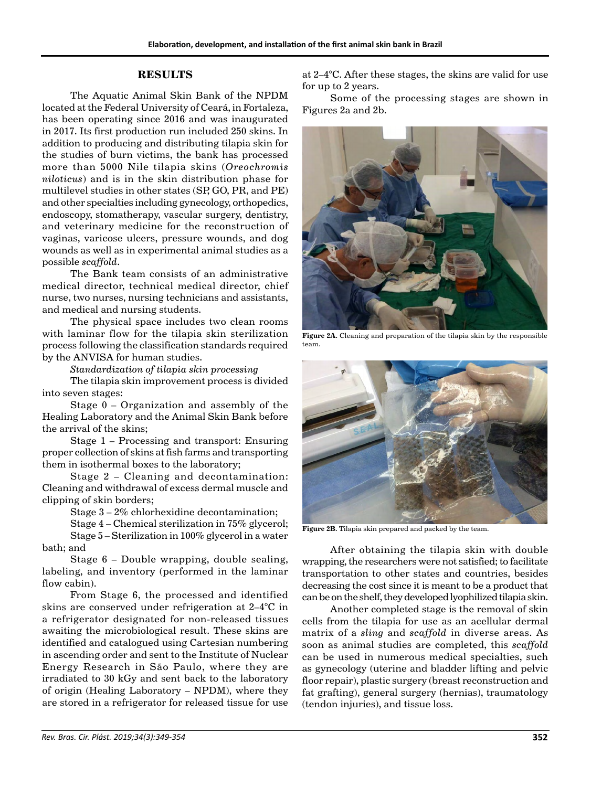# **RESULTS**

The Aquatic Animal Skin Bank of the NPDM located at the Federal University of Ceará, in Fortaleza, has been operating since 2016 and was inaugurated in 2017. Its first production run included 250 skins. In addition to producing and distributing tilapia skin for the studies of burn victims, the bank has processed more than 5000 Nile tilapia skins (*Oreochromis niloticus*) and is in the skin distribution phase for multilevel studies in other states (SP, GO, PR, and PE) and other specialties including gynecology, orthopedics, endoscopy, stomatherapy, vascular surgery, dentistry, and veterinary medicine for the reconstruction of vaginas, varicose ulcers, pressure wounds, and dog wounds as well as in experimental animal studies as a possible *scaffold*.

The Bank team consists of an administrative medical director, technical medical director, chief nurse, two nurses, nursing technicians and assistants, and medical and nursing students.

The physical space includes two clean rooms with laminar flow for the tilapia skin sterilization process following the classification standards required by the ANVISA for human studies.

*Standardization of tilapia skin processing*

The tilapia skin improvement process is divided into seven stages:

Stage 0 – Organization and assembly of the Healing Laboratory and the Animal Skin Bank before the arrival of the skins;

Stage 1 – Processing and transport: Ensuring proper collection of skins at fish farms and transporting them in isothermal boxes to the laboratory;

Stage 2 – Cleaning and decontamination: Cleaning and withdrawal of excess dermal muscle and clipping of skin borders;

Stage 3 – 2% chlorhexidine decontamination;

Stage 4 – Chemical sterilization in 75% glycerol; Stage 5 – Sterilization in 100% glycerol in a water bath; and

Stage 6 – Double wrapping, double sealing, labeling, and inventory (performed in the laminar flow cabin).

From Stage 6, the processed and identified skins are conserved under refrigeration at 2–4°C in a refrigerator designated for non-released tissues awaiting the microbiological result. These skins are identified and catalogued using Cartesian numbering in ascending order and sent to the Institute of Nuclear Energy Research in São Paulo, where they are irradiated to 30 kGy and sent back to the laboratory of origin (Healing Laboratory – NPDM), where they are stored in a refrigerator for released tissue for use at 2–4°C. After these stages, the skins are valid for use for up to 2 years.

Some of the processing stages are shown in Figures 2a and 2b.



**Figure 2A.** Cleaning and preparation of the tilapia skin by the responsible team.



**Figure 2B.** Tilapia skin prepared and packed by the team.

After obtaining the tilapia skin with double wrapping, the researchers were not satisfied; to facilitate transportation to other states and countries, besides decreasing the cost since it is meant to be a product that can be on the shelf, they developed lyophilized tilapia skin.

Another completed stage is the removal of skin cells from the tilapia for use as an acellular dermal matrix of a *sling* and *scaffold* in diverse areas. As soon as animal studies are completed, this *scaffold*  can be used in numerous medical specialties, such as gynecology (uterine and bladder lifting and pelvic floor repair), plastic surgery (breast reconstruction and fat grafting), general surgery (hernias), traumatology (tendon injuries), and tissue loss.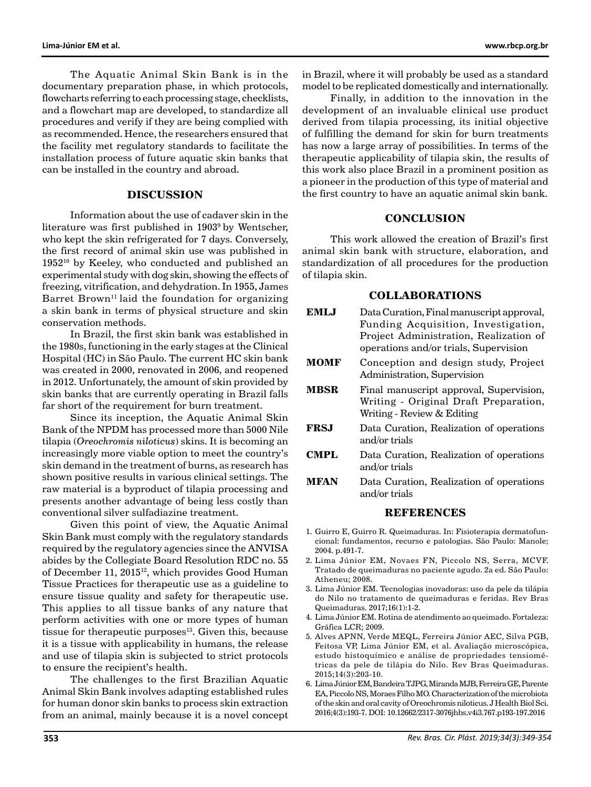The Aquatic Animal Skin Bank is in the documentary preparation phase, in which protocols, flowcharts referring to each processing stage, checklists, and a flowchart map are developed, to standardize all procedures and verify if they are being complied with as recommended. Hence, the researchers ensured that the facility met regulatory standards to facilitate the installation process of future aquatic skin banks that can be installed in the country and abroad.

## **DISCUSSION**

Information about the use of cadaver skin in the literature was first published in 19039 by Wentscher, who kept the skin refrigerated for 7 days. Conversely, the first record of animal skin use was published in 195210 by Keeley, who conducted and published an experimental study with dog skin, showing the effects of freezing, vitrification, and dehydration. In 1955, James Barret Brown<sup>11</sup> laid the foundation for organizing a skin bank in terms of physical structure and skin conservation methods.

In Brazil, the first skin bank was established in the 1980s, functioning in the early stages at the Clinical Hospital (HC) in São Paulo. The current HC skin bank was created in 2000, renovated in 2006, and reopened in 2012. Unfortunately, the amount of skin provided by skin banks that are currently operating in Brazil falls far short of the requirement for burn treatment.

Since its inception, the Aquatic Animal Skin Bank of the NPDM has processed more than 5000 Nile tilapia (*Oreochromis niloticus*) skins. It is becoming an increasingly more viable option to meet the country's skin demand in the treatment of burns, as research has shown positive results in various clinical settings. The raw material is a byproduct of tilapia processing and presents another advantage of being less costly than conventional silver sulfadiazine treatment.

Given this point of view, the Aquatic Animal Skin Bank must comply with the regulatory standards required by the regulatory agencies since the ANVISA abides by the Collegiate Board Resolution RDC no. 55 of December 11, 2015<sup>12</sup>, which provides Good Human Tissue Practices for therapeutic use as a guideline to ensure tissue quality and safety for therapeutic use. This applies to all tissue banks of any nature that perform activities with one or more types of human tissue for therapeutic purposes $13$ . Given this, because it is a tissue with applicability in humans, the release and use of tilapia skin is subjected to strict protocols to ensure the recipient's health.

The challenges to the first Brazilian Aquatic Animal Skin Bank involves adapting established rules for human donor skin banks to process skin extraction from an animal, mainly because it is a novel concept in Brazil, where it will probably be used as a standard model to be replicated domestically and internationally.

Finally, in addition to the innovation in the development of an invaluable clinical use product derived from tilapia processing, its initial objective of fulfilling the demand for skin for burn treatments has now a large array of possibilities. In terms of the therapeutic applicability of tilapia skin, the results of this work also place Brazil in a prominent position as a pioneer in the production of this type of material and the first country to have an aquatic animal skin bank.

## **CONCLUSION**

This work allowed the creation of Brazil's first animal skin bank with structure, elaboration, and standardization of all procedures for the production of tilapia skin.

# **COLLABORATIONS**

| <b>EMLJ</b>                                                      | Data Curation, Final manuscript approval,<br>Funding Acquisition, Investigation,<br>Project Administration, Realization of<br>operations and/or trials, Supervision |
|------------------------------------------------------------------|---------------------------------------------------------------------------------------------------------------------------------------------------------------------|
| <b>MOMF</b>                                                      | Conception and design study, Project<br>Administration, Supervision                                                                                                 |
| <b>MBSR</b>                                                      | Final manuscript approval, Supervision,<br>Writing - Original Draft Preparation,<br>Writing - Review & Editing                                                      |
| <b>FRSJ</b>                                                      | Data Curation, Realization of operations<br>and/or trials                                                                                                           |
| <b>CMPL</b>                                                      | Data Curation, Realization of operations<br>and/or trials                                                                                                           |
| <b>MFAN</b>                                                      | Data Curation, Realization of operations<br>and/or trials                                                                                                           |
| <b>REFERENCES</b>                                                |                                                                                                                                                                     |
| 1. Guirro E, Guirro R. Queimaduras. In: Fisioterapia dermatofun- |                                                                                                                                                                     |

- cional: fundamentos, recurso e patologias. São Paulo: Manole; 2004. p.491-7.
- 2. Lima Júnior EM, Novaes FN, Piccolo NS, Serra, MCVF. Tratado de queimaduras no paciente agudo. 2a ed. São Paulo: Atheneu; 2008.
- 3. Lima Júnior EM. Tecnologias inovadoras: uso da pele da tilápia do Nilo no tratamento de queimaduras e feridas. Rev Bras Queimaduras. 2017;16(1):1-2.
- 4. Lima Júnior EM. Rotina de atendimento ao queimado. Fortaleza: Gráfica LCR; 2009.
- 5. Alves APNN, Verde MEQL, Ferreira Júnior AEC, Silva PGB, Feitosa VP, Lima Júnior EM, et al. Avaliação microscópica, estudo histoquímico e análise de propriedades tensiométricas da pele de tilápia do Nilo. Rev Bras Queimaduras. 2015;14(3):203-10.
- 6. Lima Júnior EM, Bandeira TJPG, Miranda MJB, Ferreira GE, Parente EA, Piccolo NS, Moraes Filho MO. Characterization of the microbiota of the skin and oral cavity of Oreochromis niloticus. J Health Biol Sci. 2016;4(3):193-7. DOI: 10.12662/2317-3076jhbs.v4i3.767.p193-197.2016